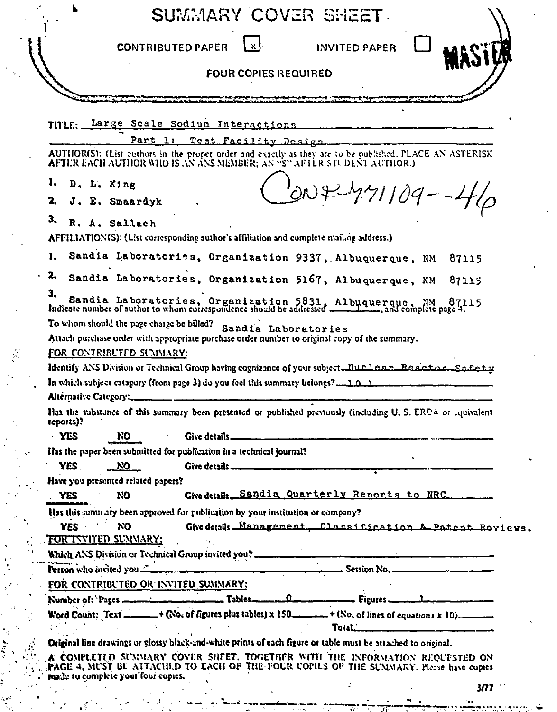| <b>FOUR COPIES REQUIRED</b><br>TITLE: Large Scale Sodium Interactions<br>1: Test Facility Design.<br>Part<br>AUTHOR(S): (List authors in the proper order and exactly as they are to be published, PLACE AN ASTERISK<br>AFTER EACH AUTHOR WHO IS AN ANS MEMBER; AN "S" AFTER STUDENT AUTHOR.)<br>ı.<br>D. L. King<br>$6042471109 - 46$<br>2.<br>J. E. Smaardyk<br>3.<br>R. A. Sallach<br>AFFILIATION(S): (List corresponding author's affiliation and complete mailing address.)<br>ı.<br>Sandia Laboratories, Organization 9337, Albuquerque, NM<br>87115<br>2.<br>Sandia Laboratories, Organization 5167, Albuquerque, NM<br>87115<br>3.<br>"Sandia Laboratories, Organization 5831, Albuquerque, MM 87115<br>Indicate number of author to whom correspondence should be addressed ___________, and complete page 4.<br>To whom should the page charge be billed?<br>Sandia Laboratories<br>Attach purchase order with appropriate purchase order number to original copy of the summary.<br><u>FOR CONTRIBUTED SUMMARY:</u><br>Identify ANS Division or Technical Group having cognizance of your subject. Nuclear Reactor Safety<br>Alternative Category:<br>Has the substance of this summary been presented or published previously (including U. S. ERDA or aquivalent<br>teports)?<br>NO<br>Give details.<br>· YES<br>Has the paper been submitted for publication in a technical journal?<br><u>__ NO</u><br>YES.<br>Give details<br>Have you presented related papers?<br>Give details Sandia Quarterly Reports to NRC<br>NΟ<br><b>YES</b><br>Has this summary been approved for publication by your institution or company?<br>YES 4<br>סא<br>Give details Management Classification & Patent Bayievs.<br><u>FOR INVITED SUMMARY:</u><br>Which ANS Division or Technical Group invited you?.<br>Person who invited you<br>Session No. .<br>FOR CONTRIBUTED OR INVITED SUMMARY:<br>Number of: Pages __________________<br>$\mathfrak{o}_-$<br>$\_$ Figures $\_\_$<br>Word Count: Text _____ + (No. of figures plus tables) x 150_<br>$\mathcal{L}^{\text{max}}_{\text{max}}$ , where<br>Total.<br>Original line drawings or glossy black-and-white prints of each figure or table must be attached to original,<br>A COMPLETED SUMMARY COVER SHEET. TOGETHER WITH THE INFORMATION REQUESTED ON<br>FAGE 4, MUST BE ATTACHED TO EACH OF THE FOUR COPILS OF THE SUMMARY. Please have copies<br>made to complete your four copies. |  | <b>CONTRIBUTED PAPER</b> | $\mathbf{x}$ | INVITED PAPER |  |
|------------------------------------------------------------------------------------------------------------------------------------------------------------------------------------------------------------------------------------------------------------------------------------------------------------------------------------------------------------------------------------------------------------------------------------------------------------------------------------------------------------------------------------------------------------------------------------------------------------------------------------------------------------------------------------------------------------------------------------------------------------------------------------------------------------------------------------------------------------------------------------------------------------------------------------------------------------------------------------------------------------------------------------------------------------------------------------------------------------------------------------------------------------------------------------------------------------------------------------------------------------------------------------------------------------------------------------------------------------------------------------------------------------------------------------------------------------------------------------------------------------------------------------------------------------------------------------------------------------------------------------------------------------------------------------------------------------------------------------------------------------------------------------------------------------------------------------------------------------------------------------------------------------------------------------------------------------------------------------------------------------------------------------------------------------------------------------------------------------------------------------------------------------------------------------------------------------------------------------------------------------------------------------------------------------------------------------------------------------------------------------------------------------------------------------------|--|--------------------------|--------------|---------------|--|
|                                                                                                                                                                                                                                                                                                                                                                                                                                                                                                                                                                                                                                                                                                                                                                                                                                                                                                                                                                                                                                                                                                                                                                                                                                                                                                                                                                                                                                                                                                                                                                                                                                                                                                                                                                                                                                                                                                                                                                                                                                                                                                                                                                                                                                                                                                                                                                                                                                          |  |                          |              |               |  |
|                                                                                                                                                                                                                                                                                                                                                                                                                                                                                                                                                                                                                                                                                                                                                                                                                                                                                                                                                                                                                                                                                                                                                                                                                                                                                                                                                                                                                                                                                                                                                                                                                                                                                                                                                                                                                                                                                                                                                                                                                                                                                                                                                                                                                                                                                                                                                                                                                                          |  |                          |              |               |  |
|                                                                                                                                                                                                                                                                                                                                                                                                                                                                                                                                                                                                                                                                                                                                                                                                                                                                                                                                                                                                                                                                                                                                                                                                                                                                                                                                                                                                                                                                                                                                                                                                                                                                                                                                                                                                                                                                                                                                                                                                                                                                                                                                                                                                                                                                                                                                                                                                                                          |  |                          |              |               |  |
|                                                                                                                                                                                                                                                                                                                                                                                                                                                                                                                                                                                                                                                                                                                                                                                                                                                                                                                                                                                                                                                                                                                                                                                                                                                                                                                                                                                                                                                                                                                                                                                                                                                                                                                                                                                                                                                                                                                                                                                                                                                                                                                                                                                                                                                                                                                                                                                                                                          |  |                          |              |               |  |
|                                                                                                                                                                                                                                                                                                                                                                                                                                                                                                                                                                                                                                                                                                                                                                                                                                                                                                                                                                                                                                                                                                                                                                                                                                                                                                                                                                                                                                                                                                                                                                                                                                                                                                                                                                                                                                                                                                                                                                                                                                                                                                                                                                                                                                                                                                                                                                                                                                          |  |                          |              |               |  |
|                                                                                                                                                                                                                                                                                                                                                                                                                                                                                                                                                                                                                                                                                                                                                                                                                                                                                                                                                                                                                                                                                                                                                                                                                                                                                                                                                                                                                                                                                                                                                                                                                                                                                                                                                                                                                                                                                                                                                                                                                                                                                                                                                                                                                                                                                                                                                                                                                                          |  |                          |              |               |  |
|                                                                                                                                                                                                                                                                                                                                                                                                                                                                                                                                                                                                                                                                                                                                                                                                                                                                                                                                                                                                                                                                                                                                                                                                                                                                                                                                                                                                                                                                                                                                                                                                                                                                                                                                                                                                                                                                                                                                                                                                                                                                                                                                                                                                                                                                                                                                                                                                                                          |  |                          |              |               |  |
|                                                                                                                                                                                                                                                                                                                                                                                                                                                                                                                                                                                                                                                                                                                                                                                                                                                                                                                                                                                                                                                                                                                                                                                                                                                                                                                                                                                                                                                                                                                                                                                                                                                                                                                                                                                                                                                                                                                                                                                                                                                                                                                                                                                                                                                                                                                                                                                                                                          |  |                          |              |               |  |
|                                                                                                                                                                                                                                                                                                                                                                                                                                                                                                                                                                                                                                                                                                                                                                                                                                                                                                                                                                                                                                                                                                                                                                                                                                                                                                                                                                                                                                                                                                                                                                                                                                                                                                                                                                                                                                                                                                                                                                                                                                                                                                                                                                                                                                                                                                                                                                                                                                          |  |                          |              |               |  |
|                                                                                                                                                                                                                                                                                                                                                                                                                                                                                                                                                                                                                                                                                                                                                                                                                                                                                                                                                                                                                                                                                                                                                                                                                                                                                                                                                                                                                                                                                                                                                                                                                                                                                                                                                                                                                                                                                                                                                                                                                                                                                                                                                                                                                                                                                                                                                                                                                                          |  |                          |              |               |  |
|                                                                                                                                                                                                                                                                                                                                                                                                                                                                                                                                                                                                                                                                                                                                                                                                                                                                                                                                                                                                                                                                                                                                                                                                                                                                                                                                                                                                                                                                                                                                                                                                                                                                                                                                                                                                                                                                                                                                                                                                                                                                                                                                                                                                                                                                                                                                                                                                                                          |  |                          |              |               |  |
|                                                                                                                                                                                                                                                                                                                                                                                                                                                                                                                                                                                                                                                                                                                                                                                                                                                                                                                                                                                                                                                                                                                                                                                                                                                                                                                                                                                                                                                                                                                                                                                                                                                                                                                                                                                                                                                                                                                                                                                                                                                                                                                                                                                                                                                                                                                                                                                                                                          |  |                          |              |               |  |
|                                                                                                                                                                                                                                                                                                                                                                                                                                                                                                                                                                                                                                                                                                                                                                                                                                                                                                                                                                                                                                                                                                                                                                                                                                                                                                                                                                                                                                                                                                                                                                                                                                                                                                                                                                                                                                                                                                                                                                                                                                                                                                                                                                                                                                                                                                                                                                                                                                          |  |                          |              |               |  |
|                                                                                                                                                                                                                                                                                                                                                                                                                                                                                                                                                                                                                                                                                                                                                                                                                                                                                                                                                                                                                                                                                                                                                                                                                                                                                                                                                                                                                                                                                                                                                                                                                                                                                                                                                                                                                                                                                                                                                                                                                                                                                                                                                                                                                                                                                                                                                                                                                                          |  |                          |              |               |  |
|                                                                                                                                                                                                                                                                                                                                                                                                                                                                                                                                                                                                                                                                                                                                                                                                                                                                                                                                                                                                                                                                                                                                                                                                                                                                                                                                                                                                                                                                                                                                                                                                                                                                                                                                                                                                                                                                                                                                                                                                                                                                                                                                                                                                                                                                                                                                                                                                                                          |  |                          |              |               |  |
|                                                                                                                                                                                                                                                                                                                                                                                                                                                                                                                                                                                                                                                                                                                                                                                                                                                                                                                                                                                                                                                                                                                                                                                                                                                                                                                                                                                                                                                                                                                                                                                                                                                                                                                                                                                                                                                                                                                                                                                                                                                                                                                                                                                                                                                                                                                                                                                                                                          |  |                          |              |               |  |
|                                                                                                                                                                                                                                                                                                                                                                                                                                                                                                                                                                                                                                                                                                                                                                                                                                                                                                                                                                                                                                                                                                                                                                                                                                                                                                                                                                                                                                                                                                                                                                                                                                                                                                                                                                                                                                                                                                                                                                                                                                                                                                                                                                                                                                                                                                                                                                                                                                          |  |                          |              |               |  |
|                                                                                                                                                                                                                                                                                                                                                                                                                                                                                                                                                                                                                                                                                                                                                                                                                                                                                                                                                                                                                                                                                                                                                                                                                                                                                                                                                                                                                                                                                                                                                                                                                                                                                                                                                                                                                                                                                                                                                                                                                                                                                                                                                                                                                                                                                                                                                                                                                                          |  |                          |              |               |  |
|                                                                                                                                                                                                                                                                                                                                                                                                                                                                                                                                                                                                                                                                                                                                                                                                                                                                                                                                                                                                                                                                                                                                                                                                                                                                                                                                                                                                                                                                                                                                                                                                                                                                                                                                                                                                                                                                                                                                                                                                                                                                                                                                                                                                                                                                                                                                                                                                                                          |  |                          |              |               |  |
|                                                                                                                                                                                                                                                                                                                                                                                                                                                                                                                                                                                                                                                                                                                                                                                                                                                                                                                                                                                                                                                                                                                                                                                                                                                                                                                                                                                                                                                                                                                                                                                                                                                                                                                                                                                                                                                                                                                                                                                                                                                                                                                                                                                                                                                                                                                                                                                                                                          |  |                          |              |               |  |
|                                                                                                                                                                                                                                                                                                                                                                                                                                                                                                                                                                                                                                                                                                                                                                                                                                                                                                                                                                                                                                                                                                                                                                                                                                                                                                                                                                                                                                                                                                                                                                                                                                                                                                                                                                                                                                                                                                                                                                                                                                                                                                                                                                                                                                                                                                                                                                                                                                          |  |                          |              |               |  |
|                                                                                                                                                                                                                                                                                                                                                                                                                                                                                                                                                                                                                                                                                                                                                                                                                                                                                                                                                                                                                                                                                                                                                                                                                                                                                                                                                                                                                                                                                                                                                                                                                                                                                                                                                                                                                                                                                                                                                                                                                                                                                                                                                                                                                                                                                                                                                                                                                                          |  |                          |              |               |  |
|                                                                                                                                                                                                                                                                                                                                                                                                                                                                                                                                                                                                                                                                                                                                                                                                                                                                                                                                                                                                                                                                                                                                                                                                                                                                                                                                                                                                                                                                                                                                                                                                                                                                                                                                                                                                                                                                                                                                                                                                                                                                                                                                                                                                                                                                                                                                                                                                                                          |  |                          |              |               |  |
|                                                                                                                                                                                                                                                                                                                                                                                                                                                                                                                                                                                                                                                                                                                                                                                                                                                                                                                                                                                                                                                                                                                                                                                                                                                                                                                                                                                                                                                                                                                                                                                                                                                                                                                                                                                                                                                                                                                                                                                                                                                                                                                                                                                                                                                                                                                                                                                                                                          |  |                          |              |               |  |
|                                                                                                                                                                                                                                                                                                                                                                                                                                                                                                                                                                                                                                                                                                                                                                                                                                                                                                                                                                                                                                                                                                                                                                                                                                                                                                                                                                                                                                                                                                                                                                                                                                                                                                                                                                                                                                                                                                                                                                                                                                                                                                                                                                                                                                                                                                                                                                                                                                          |  |                          |              |               |  |
|                                                                                                                                                                                                                                                                                                                                                                                                                                                                                                                                                                                                                                                                                                                                                                                                                                                                                                                                                                                                                                                                                                                                                                                                                                                                                                                                                                                                                                                                                                                                                                                                                                                                                                                                                                                                                                                                                                                                                                                                                                                                                                                                                                                                                                                                                                                                                                                                                                          |  |                          |              |               |  |
|                                                                                                                                                                                                                                                                                                                                                                                                                                                                                                                                                                                                                                                                                                                                                                                                                                                                                                                                                                                                                                                                                                                                                                                                                                                                                                                                                                                                                                                                                                                                                                                                                                                                                                                                                                                                                                                                                                                                                                                                                                                                                                                                                                                                                                                                                                                                                                                                                                          |  |                          |              |               |  |
|                                                                                                                                                                                                                                                                                                                                                                                                                                                                                                                                                                                                                                                                                                                                                                                                                                                                                                                                                                                                                                                                                                                                                                                                                                                                                                                                                                                                                                                                                                                                                                                                                                                                                                                                                                                                                                                                                                                                                                                                                                                                                                                                                                                                                                                                                                                                                                                                                                          |  |                          |              |               |  |
|                                                                                                                                                                                                                                                                                                                                                                                                                                                                                                                                                                                                                                                                                                                                                                                                                                                                                                                                                                                                                                                                                                                                                                                                                                                                                                                                                                                                                                                                                                                                                                                                                                                                                                                                                                                                                                                                                                                                                                                                                                                                                                                                                                                                                                                                                                                                                                                                                                          |  |                          |              |               |  |
|                                                                                                                                                                                                                                                                                                                                                                                                                                                                                                                                                                                                                                                                                                                                                                                                                                                                                                                                                                                                                                                                                                                                                                                                                                                                                                                                                                                                                                                                                                                                                                                                                                                                                                                                                                                                                                                                                                                                                                                                                                                                                                                                                                                                                                                                                                                                                                                                                                          |  |                          |              |               |  |
|                                                                                                                                                                                                                                                                                                                                                                                                                                                                                                                                                                                                                                                                                                                                                                                                                                                                                                                                                                                                                                                                                                                                                                                                                                                                                                                                                                                                                                                                                                                                                                                                                                                                                                                                                                                                                                                                                                                                                                                                                                                                                                                                                                                                                                                                                                                                                                                                                                          |  |                          |              |               |  |
|                                                                                                                                                                                                                                                                                                                                                                                                                                                                                                                                                                                                                                                                                                                                                                                                                                                                                                                                                                                                                                                                                                                                                                                                                                                                                                                                                                                                                                                                                                                                                                                                                                                                                                                                                                                                                                                                                                                                                                                                                                                                                                                                                                                                                                                                                                                                                                                                                                          |  |                          |              |               |  |

ł  $\ddot{\cdot}$ r<br>U

 $\begin{aligned} \mathbf{r}^{\text{in}} &= \mathbf{A}^{\text{in}}_{\text{in}} \mathbf{r}^{\text{in}}_{\text{in}} \end{aligned}$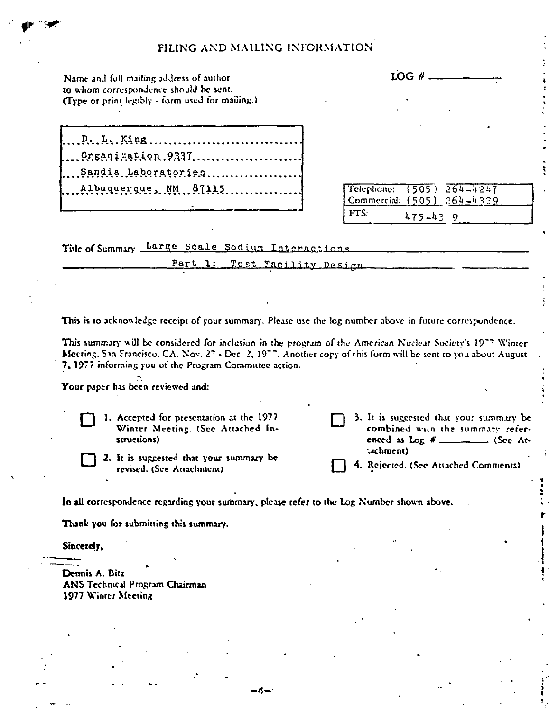| FILING AND MAILING INFORMATION                                                                                                                                                                                                                                                                                                                                                                                                                                                                                                                              |                                                                                                           |
|-------------------------------------------------------------------------------------------------------------------------------------------------------------------------------------------------------------------------------------------------------------------------------------------------------------------------------------------------------------------------------------------------------------------------------------------------------------------------------------------------------------------------------------------------------------|-----------------------------------------------------------------------------------------------------------|
| Name and full mailing address of author<br>to whom correspondence should be sent.<br>(Type or print legibly - form used for mailing.)                                                                                                                                                                                                                                                                                                                                                                                                                       | LOG#                                                                                                      |
| $P_1, L_1, K_1, R_2, \ldots, \ldots, \ldots, \ldots, \ldots, \ldots, \ldots$<br>Organization.9337<br>Sandia Laboratories<br>Albuquerque, NM  87115                                                                                                                                                                                                                                                                                                                                                                                                          | Telephone:<br>$(505) 264 - 4247$<br>Commercial: $(505)$ $264-4329$<br>FTS:<br>$475 - 439$                 |
| Title of Summary Large Scale Sodium Interactions                                                                                                                                                                                                                                                                                                                                                                                                                                                                                                            |                                                                                                           |
| Part 1:<br>Test Facility Design                                                                                                                                                                                                                                                                                                                                                                                                                                                                                                                             |                                                                                                           |
|                                                                                                                                                                                                                                                                                                                                                                                                                                                                                                                                                             | This is to acknowledge receipt of your summary. Please use the log number above in future correspondence. |
| 1. Accepted for presentation at the 1977<br>Winter Meeting. (See Attached In-                                                                                                                                                                                                                                                                                                                                                                                                                                                                               | 3. It is suggested that your summary be<br>combined with the summary refer-                               |
| structions)                                                                                                                                                                                                                                                                                                                                                                                                                                                                                                                                                 | enced as $\text{Log } #$ __________ (See At-                                                              |
| 2. It is suggested that your summary be<br>revised. (See Attachment)                                                                                                                                                                                                                                                                                                                                                                                                                                                                                        | (achment)<br>4. Rejected. (See Attached Comments)                                                         |
|                                                                                                                                                                                                                                                                                                                                                                                                                                                                                                                                                             |                                                                                                           |
|                                                                                                                                                                                                                                                                                                                                                                                                                                                                                                                                                             |                                                                                                           |
|                                                                                                                                                                                                                                                                                                                                                                                                                                                                                                                                                             |                                                                                                           |
|                                                                                                                                                                                                                                                                                                                                                                                                                                                                                                                                                             |                                                                                                           |
|                                                                                                                                                                                                                                                                                                                                                                                                                                                                                                                                                             |                                                                                                           |
| This summary will be considered for inclusion in the program of the American Nuclear Society's 1977 Winter<br>Meeting, San Francisco, CA, Nov. 27 - Dec. 2, 1977. Another copy of this form will be sent to you about August<br>7, 1977 informing you of the Program Committee action.<br>Your paper has been reviewed and:<br>In all correspondence regarding your summary, please refer to the Log Number shown above.<br>Thank you for submitting this summary.<br>Sincerely,<br>Dennis A. Bitz<br>ANS Technical Program Chairman<br>1977 Winter Meeting |                                                                                                           |

 $\frac{1}{\sqrt{2}}$ 

 $\frac{1}{2}$ 

ķ,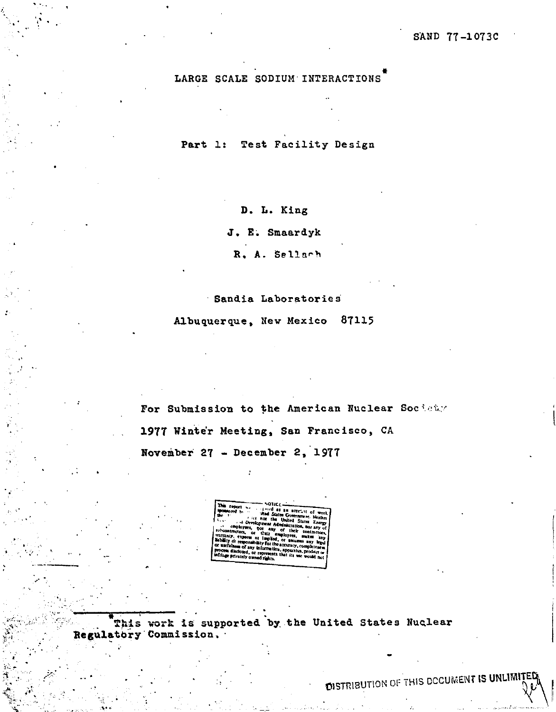LARGE SCALE SODIUM INTERACTIONS

Part 1: Test Facility Design

D. L. King

J. E. Smaardyk

R. A. Sellach

## Sandia Laboratories

Albuquerque, New Mexico 87115

For Submission to the American Nuclear Society 1977 Winter Meeting, San Francisco, CA November 27 - December 2, 1977

This work is supported by the United States Nuclear Regulatory Commission.

**DISTRIBUTION OF THIS DCCUMENT IS UNLIMIT**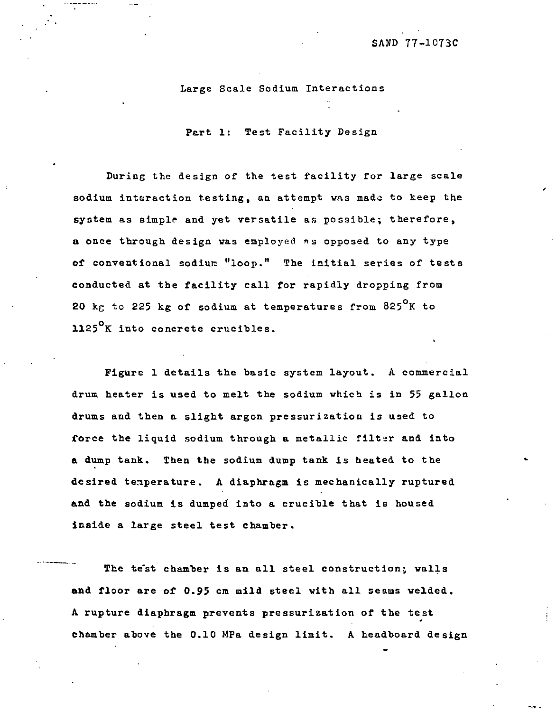## Large Scale Sodium Interactions

Part 1: Test Facility Design

During the design of the test facility for large scale sodium interaction testing, aa attempt was made to keep the system as simple and yet versatile as possible; therefore, a once through design was employed as opposed to any type of conventional sodiun "loop." The initial series of tests conducted at the facility call for rapidly dropping from 20  $k_{\text{C}}$  to 225 kg of sodium at temperatures from 825 $^{\circ}$ K to 1125<sup>0</sup>K into concrete crucibles.

Figure 1 details the basic system layout. A commercial drum heater is used to melt the sodium which is in 55 gallon drums and then a slight argon pressurization is used to force the liquid sodium through a metallic filter and into a dump tank. Then the sodium dump tank is heated to the desired temperature. A diaphragm is mechanically ruptured and the sodium is dumped into a crucible that is housed inside a large steel test chamber.

The te'st chamber is an all steel construction; vails and floor are of 0.95 cm mild steel with all seams welded. A rupture diaphragm prevents pressurization of the test chamber above the 0.10 MPa design limit. A headboard design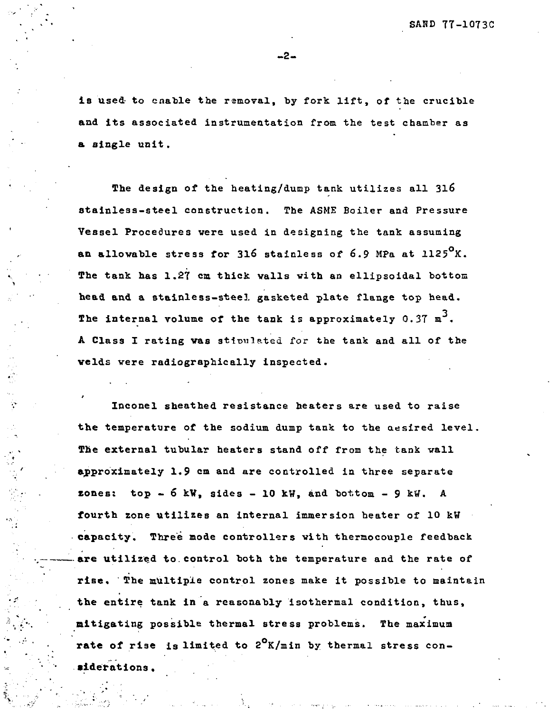is used to enable the removal, by fork lift, of the crucible and its associated instrumentation from the test chamber as a single unit.

The design of the heating/dump tank utilizes all 316 stainless-steel construction. The ASME Boiler and Pressure Vessel Procedures vere used in designing the tank assuming an allowable stress for 316 stainless of 6.9 MPa at 1125 $^{\circ}$ K. The tank has 1.27 cm thick vails vith an ellipsoidal bottom head and a stainless-steel gasketed plate flange top head. The internal volume of the tank is approximately 0.37  $m^3$ . A Class I rating vas stimulated for the tank and all of the velds vere radiographically inspected.

 $\ddot{\cdot}$ 

Inconel sheathed resistance heaters are used to raise the temperature of the sodium dump tank to the aesired level. The external tubular heaters stand off from the tank wall approximately 1.9 cm and are controlled in three separate  $zones: top - 6 kW, sides - 10 kW, and bottom - 9 kW. A$ fourth zone utilizes an internal immersion heater of 10 kW • capacity. Three mode controllers vith thermocouple feedback **•are** utilized to.control both the temperature and the rate of rise. The multiple control zones make it possible to maintain the entire tank in a reasonably isothermal condition, thus, mitigating possible thermal stress problems. The maximum rate of rise is limited to  $2^{0}$ K/min by thermal stress con**siderations.**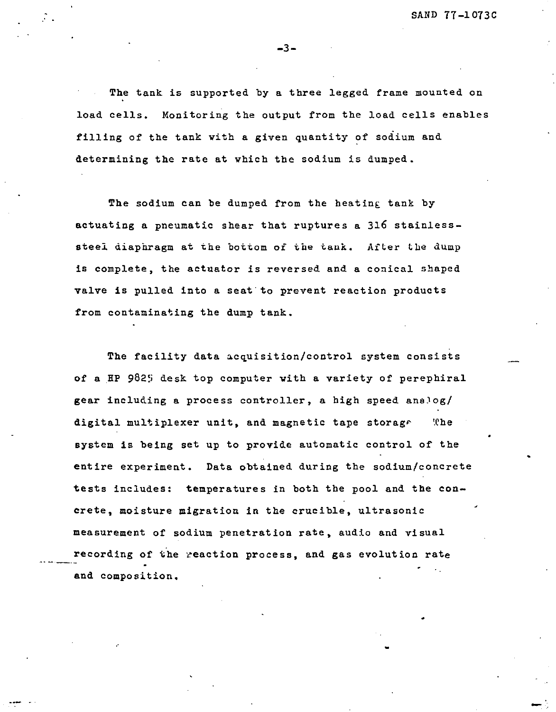The tank is supported by a three legged frame mounted on load cells. Monitoring the output from the load cells enables filling of the tank vith a given quantity of sodium and determining the rate at which the sodium is dumped.

-3-

The sodium can be dumped from the heating tank by actuating a pneumatic shear that ruptures a 316 stainlesssteel diaphragm at the bottom of the tauk. After the dump is complete, the actuator is reversed and a conical shaped valve is pulled into a seat to prevent reaction products from contaminating the dump tank.

The facility data acquisition/control system consists of a HP 9825 desk top computer with a variety of perephiral gear including a process controller, a high speed analog/ digital multiplexer unit, and magnetic tape storage Whe system is being set up to provide automatic control of the entire experiment. Data obtained during the sodium/concrete tests includes: temperatures in both the pool and the concrete, moisture migration in the crucible, ultrasonic measurement of sodium penetration rate, audio and visual recording of the reaction process, and gas evolution rate and composition.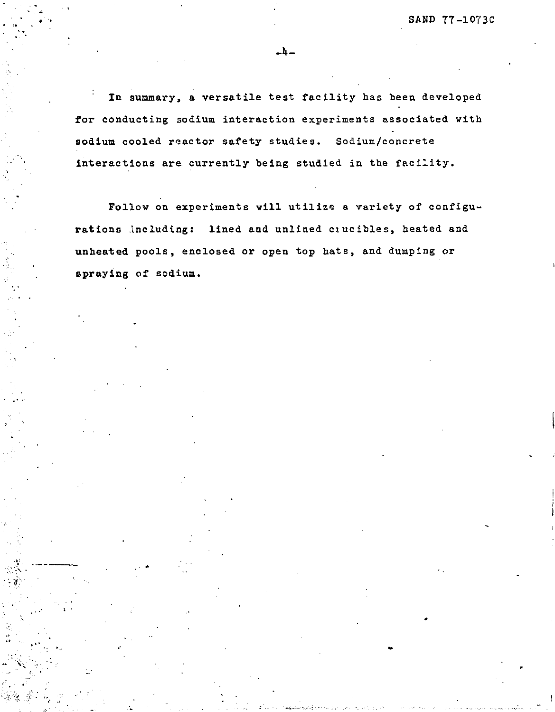In summary, a versatile test facility has been developed for conducting sodium interaction experiments associated with sodium cooled reactor safety studies. Sodium/concrete interactions are currently being studied in the facility.

- U -

Follow on experiments vill utilize a variety of configurations including: lined and unlined ciucibles, heated and unheated pools, enclosed or open top hats, and dumping or spraying of sodium.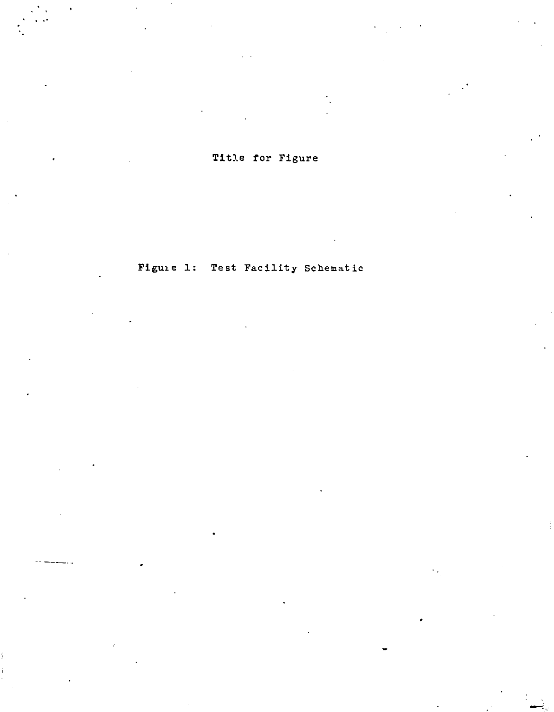Title for Figure

Figure 1: Test Facility Schematic